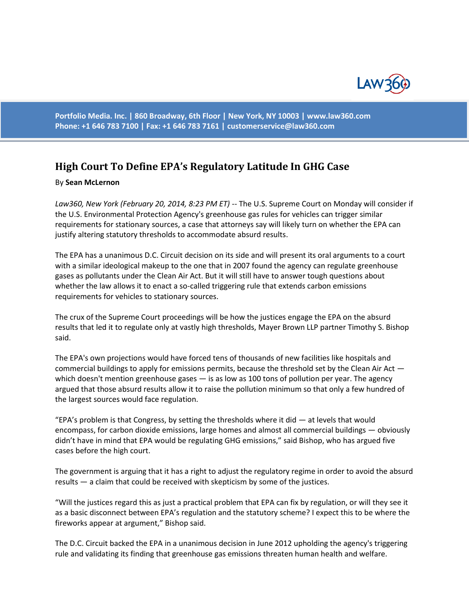

**Portfolio Media. Inc. | 860 Broadway, 6th Floor | New York, NY 10003 | www.law360.com Phone: +1 646 783 7100 | Fax: +1 646 783 7161 | [customerservice@law360.com](mailto:customerservice@law360.com)**

## **High Court To Define EPA's Regulatory Latitude In GHG Case**

## By **Sean McLernon**

*Law360, New York (February 20, 2014, 8:23 PM ET)* -- The U.S. Supreme Court on Monday will consider if the U.S. Environmental Protection Agency's greenhouse gas rules for vehicles can trigger similar requirements for stationary sources, a case that attorneys say will likely turn on whether the EPA can justify altering statutory thresholds to accommodate absurd results.

The EPA has a unanimous D.C. Circuit decision on its side and will present its oral arguments to a court with a similar ideological makeup to the one that in 2007 found the agency can regulate greenhouse gases as pollutants under the Clean Air Act. But it will still have to answer tough questions about whether the law allows it to enact a so-called triggering rule that extends carbon emissions requirements for vehicles to stationary sources.

The crux of the Supreme Court proceedings will be how the justices engage the EPA on the absurd results that led it to regulate only at vastly high thresholds, Mayer Brown LLP partner Timothy S. Bishop said.

The EPA's own projections would have forced tens of thousands of new facilities like hospitals and commercial buildings to apply for emissions permits, because the threshold set by the Clean Air Act which doesn't mention greenhouse gases — is as low as 100 tons of pollution per year. The agency argued that those absurd results allow it to raise the pollution minimum so that only a few hundred of the largest sources would face regulation.

"EPA's problem is that Congress, by setting the thresholds where it did  $-$  at levels that would encompass, for carbon dioxide emissions, large homes and almost all commercial buildings — obviously didn't have in mind that EPA would be regulating GHG emissions," said Bishop, who has argued five cases before the high court.

The government is arguing that it has a right to adjust the regulatory regime in order to avoid the absurd results — a claim that could be received with skepticism by some of the justices.

"Will the justices regard this as just a practical problem that EPA can fix by regulation, or will they see it as a basic disconnect between EPA's regulation and the statutory scheme? I expect this to be where the fireworks appear at argument," Bishop said.

The D.C. Circuit backed the EPA in a unanimous decision in June 2012 upholding the agency's triggering rule and validating its finding that greenhouse gas emissions threaten human health and welfare.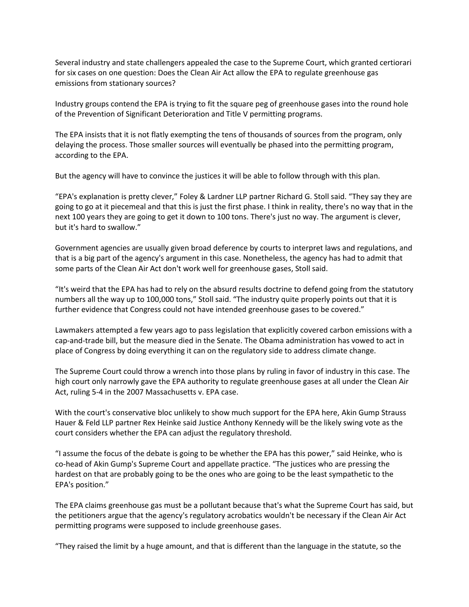Several industry and state challengers appealed the case to the Supreme Court, which granted certiorari for six cases on one question: Does the Clean Air Act allow the EPA to regulate greenhouse gas emissions from stationary sources?

Industry groups contend the EPA is trying to fit the square peg of greenhouse gases into the round hole of the Prevention of Significant Deterioration and Title V permitting programs.

The EPA insists that it is not flatly exempting the tens of thousands of sources from the program, only delaying the process. Those smaller sources will eventually be phased into the permitting program, according to the EPA.

But the agency will have to convince the justices it will be able to follow through with this plan.

"EPA's explanation is pretty clever," Foley & Lardner LLP partner Richard G. Stoll said. "They say they are going to go at it piecemeal and that this is just the first phase. I think in reality, there's no way that in the next 100 years they are going to get it down to 100 tons. There's just no way. The argument is clever, but it's hard to swallow."

Government agencies are usually given broad deference by courts to interpret laws and regulations, and that is a big part of the agency's argument in this case. Nonetheless, the agency has had to admit that some parts of the Clean Air Act don't work well for greenhouse gases, Stoll said.

"It's weird that the EPA has had to rely on the absurd results doctrine to defend going from the statutory numbers all the way up to 100,000 tons," Stoll said. "The industry quite properly points out that it is further evidence that Congress could not have intended greenhouse gases to be covered."

Lawmakers attempted a few years ago to pass legislation that explicitly covered carbon emissions with a cap-and-trade bill, but the measure died in the Senate. The Obama administration has vowed to act in place of Congress by doing everything it can on the regulatory side to address climate change.

The Supreme Court could throw a wrench into those plans by ruling in favor of industry in this case. The high court only narrowly gave the EPA authority to regulate greenhouse gases at all under the Clean Air Act, ruling 5-4 in the 2007 Massachusetts v. EPA case.

With the court's conservative bloc unlikely to show much support for the EPA here, Akin Gump Strauss Hauer & Feld LLP partner Rex Heinke said Justice Anthony Kennedy will be the likely swing vote as the court considers whether the EPA can adjust the regulatory threshold.

"I assume the focus of the debate is going to be whether the EPA has this power," said Heinke, who is co-head of Akin Gump's Supreme Court and appellate practice. "The justices who are pressing the hardest on that are probably going to be the ones who are going to be the least sympathetic to the EPA's position."

The EPA claims greenhouse gas must be a pollutant because that's what the Supreme Court has said, but the petitioners argue that the agency's regulatory acrobatics wouldn't be necessary if the Clean Air Act permitting programs were supposed to include greenhouse gases.

"They raised the limit by a huge amount, and that is different than the language in the statute, so the